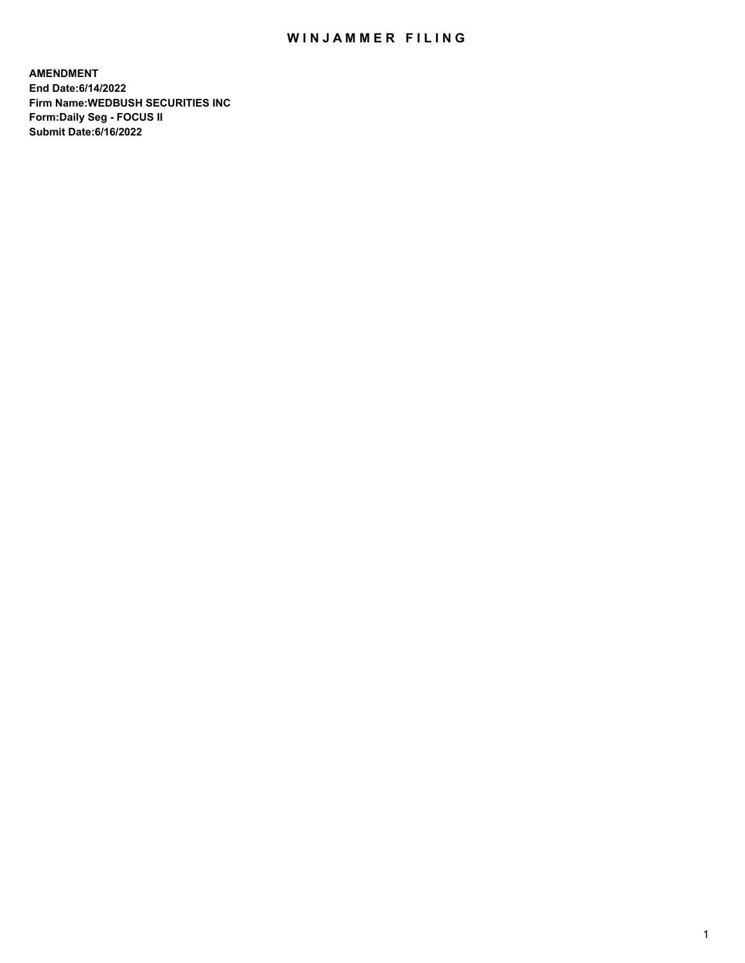## WIN JAMMER FILING

**AMENDMENT End Date:6/14/2022 Firm Name:WEDBUSH SECURITIES INC Form:Daily Seg - FOCUS II Submit Date:6/16/2022**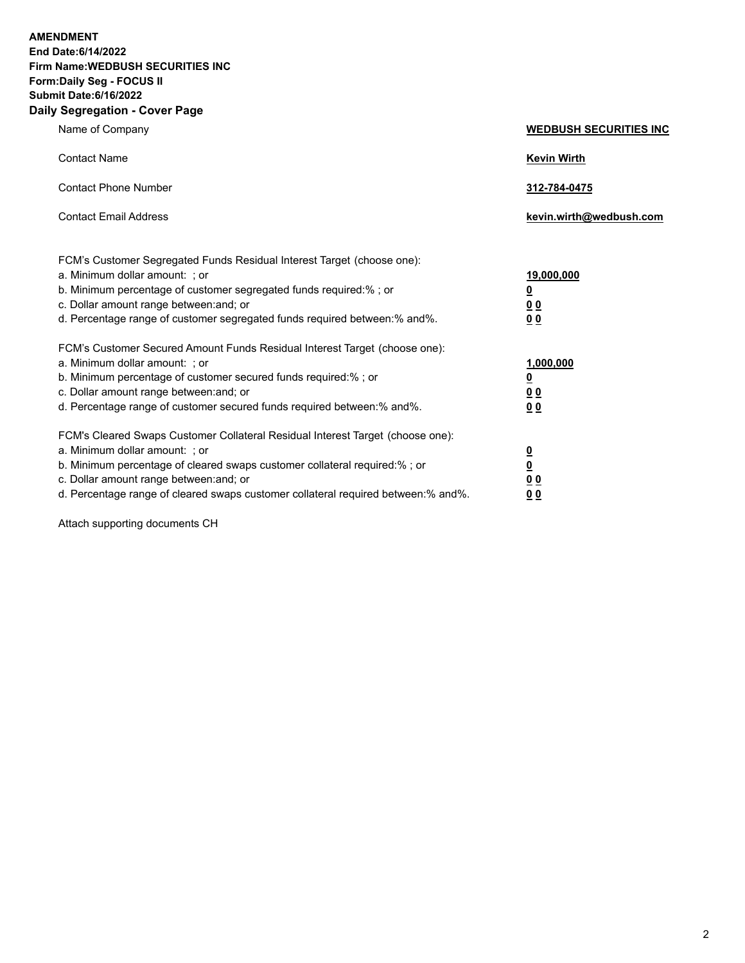**AMENDMENT End Date:6/14/2022 Firm Name:WEDBUSH SECURITIES INC Form:Daily Seg - FOCUS II Submit Date:6/16/2022 Daily Segregation - Cover Page**

| Name of Company                                                                                                                                                                                                                                                                                                               | <b>WEDBUSH SECURITIES INC</b>                             |
|-------------------------------------------------------------------------------------------------------------------------------------------------------------------------------------------------------------------------------------------------------------------------------------------------------------------------------|-----------------------------------------------------------|
| <b>Contact Name</b>                                                                                                                                                                                                                                                                                                           | <b>Kevin Wirth</b>                                        |
| <b>Contact Phone Number</b>                                                                                                                                                                                                                                                                                                   | 312-784-0475                                              |
| <b>Contact Email Address</b>                                                                                                                                                                                                                                                                                                  | kevin.wirth@wedbush.com                                   |
| FCM's Customer Segregated Funds Residual Interest Target (choose one):<br>a. Minimum dollar amount: : or<br>b. Minimum percentage of customer segregated funds required:%; or<br>c. Dollar amount range between: and; or<br>d. Percentage range of customer segregated funds required between:% and%.                         | 19,000,000<br><u>0</u><br><u>00</u><br>0 <sub>0</sub>     |
| FCM's Customer Secured Amount Funds Residual Interest Target (choose one):<br>a. Minimum dollar amount: ; or<br>b. Minimum percentage of customer secured funds required:%; or<br>c. Dollar amount range between: and; or<br>d. Percentage range of customer secured funds required between:% and%.                           | 1,000,000<br><u>0</u><br>0 <sub>0</sub><br>0 <sub>0</sub> |
| FCM's Cleared Swaps Customer Collateral Residual Interest Target (choose one):<br>a. Minimum dollar amount: ; or<br>b. Minimum percentage of cleared swaps customer collateral required:%; or<br>c. Dollar amount range between: and; or<br>d. Percentage range of cleared swaps customer collateral required between:% and%. | $\frac{0}{0}$<br>0 <sub>0</sub><br>00                     |

Attach supporting documents CH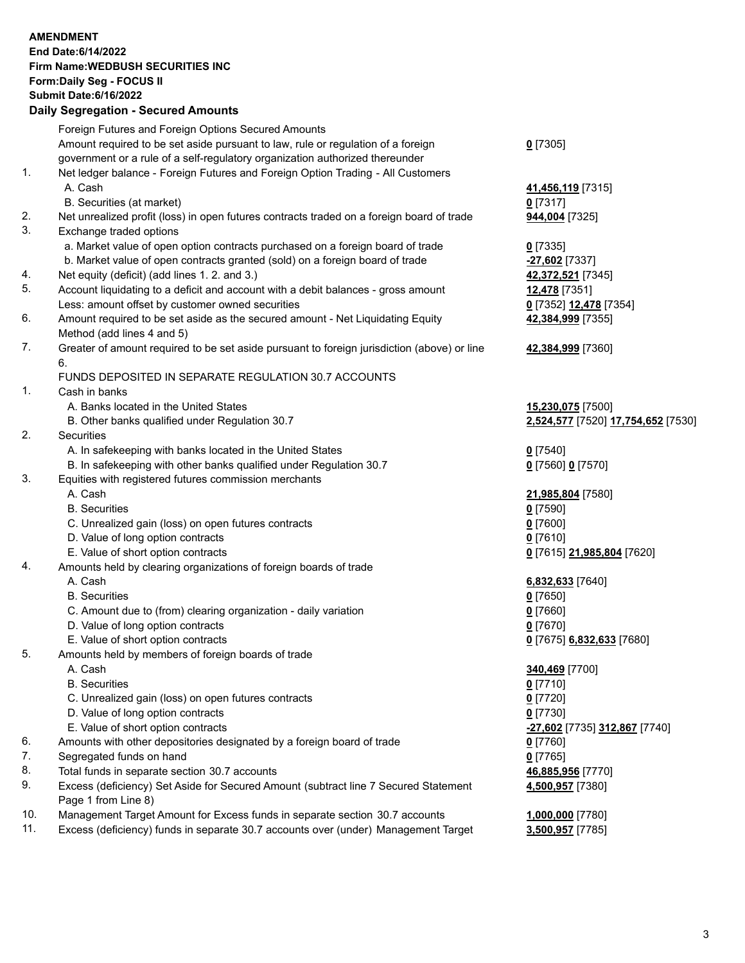## **AMENDMENT End Date:6/14/2022 Firm Name:WEDBUSH SECURITIES INC Form:Daily Seg - FOCUS II Submit Date:6/16/2022 Daily Segregation - Secured Amounts** Foreign Futures and Foreign Options Secured Amounts Amount required to be set aside pursuant to law, rule or regulation of a foreign government or a rule of a self-regulatory organization authorized thereunder **0** [7305] 1. Net ledger balance - Foreign Futures and Foreign Option Trading - All Customers A. Cash **41,456,119** [7315] B. Securities (at market) **0** [7317] 2. Net unrealized profit (loss) in open futures contracts traded on a foreign board of trade **944,004** [7325] 3. Exchange traded options a. Market value of open option contracts purchased on a foreign board of trade **0** [7335] b. Market value of open contracts granted (sold) on a foreign board of trade **-27,602** [7337] 4. Net equity (deficit) (add lines 1. 2. and 3.) **42,372,521** [7345] 5. Account liquidating to a deficit and account with a debit balances - gross amount **12,478** [7351] Less: amount offset by customer owned securities **0** [7352] **12,478** [7354] 6. Amount required to be set aside as the secured amount - Net Liquidating Equity Method (add lines 4 and 5) **42,384,999** [7355] 7. Greater of amount required to be set aside pursuant to foreign jurisdiction (above) or line 6. **42,384,999** [7360] FUNDS DEPOSITED IN SEPARATE REGULATION 30.7 ACCOUNTS 1. Cash in banks A. Banks located in the United States **15,230,075** [7500] B. Other banks qualified under Regulation 30.7 **2,524,577** [7520] **17,754,652** [7530] 2. Securities A. In safekeeping with banks located in the United States **0** [7540] B. In safekeeping with other banks qualified under Regulation 30.7 **0** [7560] **0** [7570] 3. Equities with registered futures commission merchants A. Cash **21,985,804** [7580] B. Securities **0** [7590] C. Unrealized gain (loss) on open futures contracts **0** [7600] D. Value of long option contracts **0** [7610] E. Value of short option contracts **0** [7615] **21,985,804** [7620] 4. Amounts held by clearing organizations of foreign boards of trade A. Cash **6,832,633** [7640] B. Securities **0** [7650] C. Amount due to (from) clearing organization - daily variation **0** [7660] D. Value of long option contracts **0** [7670] E. Value of short option contracts **0** [7675] **6,832,633** [7680] 5. Amounts held by members of foreign boards of trade A. Cash **340,469** [7700] B. Securities **0** [7710] C. Unrealized gain (loss) on open futures contracts **0** [7720] D. Value of long option contracts **0** [7730] E. Value of short option contracts **-27,602** [7735] **312,867** [7740] 6. Amounts with other depositories designated by a foreign board of trade **0** [7760] 7. Segregated funds on hand **0** [7765] 8. Total funds in separate section 30.7 accounts **46,885,956** [7770] 9. Excess (deficiency) Set Aside for Secured Amount (subtract line 7 Secured Statement Page 1 from Line 8) **4,500,957** [7380] 10. Management Target Amount for Excess funds in separate section 30.7 accounts **1,000,000** [7780]

11. Excess (deficiency) funds in separate 30.7 accounts over (under) Management Target **3,500,957** [7785]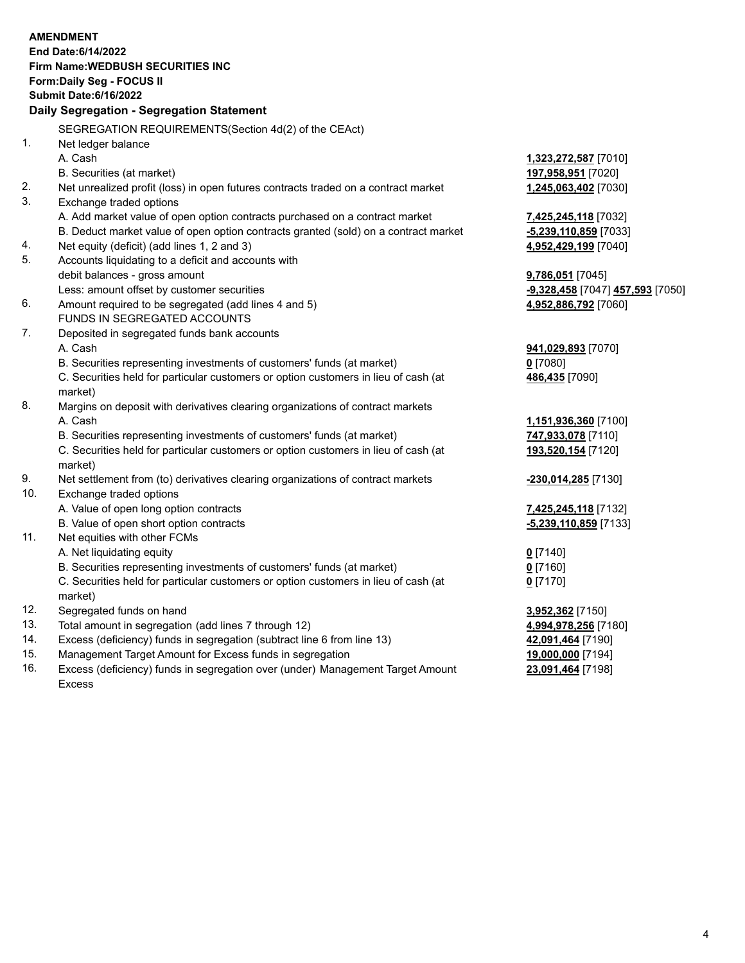|     | <b>AMENDMENT</b><br>End Date: 6/14/2022<br>Firm Name: WEDBUSH SECURITIES INC<br>Form: Daily Seg - FOCUS II<br><b>Submit Date:6/16/2022</b><br>Daily Segregation - Segregation Statement |                                  |
|-----|-----------------------------------------------------------------------------------------------------------------------------------------------------------------------------------------|----------------------------------|
|     |                                                                                                                                                                                         |                                  |
|     | SEGREGATION REQUIREMENTS(Section 4d(2) of the CEAct)                                                                                                                                    |                                  |
| 1.  | Net ledger balance                                                                                                                                                                      |                                  |
|     | A. Cash                                                                                                                                                                                 | 1,323,272,587 [7010]             |
|     | B. Securities (at market)                                                                                                                                                               | 197,958,951 [7020]               |
| 2.  | Net unrealized profit (loss) in open futures contracts traded on a contract market                                                                                                      | 1,245,063,402 [7030]             |
| 3.  | Exchange traded options                                                                                                                                                                 |                                  |
|     | A. Add market value of open option contracts purchased on a contract market                                                                                                             | 7,425,245,118 [7032]             |
|     | B. Deduct market value of open option contracts granted (sold) on a contract market                                                                                                     | -5,239,110,859 [7033]            |
| 4.  | Net equity (deficit) (add lines 1, 2 and 3)                                                                                                                                             | 4,952,429,199 [7040]             |
| 5.  | Accounts liquidating to a deficit and accounts with                                                                                                                                     |                                  |
|     | debit balances - gross amount                                                                                                                                                           | 9,786,051 [7045]                 |
|     | Less: amount offset by customer securities                                                                                                                                              | -9,328,458 [7047] 457,593 [7050] |
| 6.  | Amount required to be segregated (add lines 4 and 5)                                                                                                                                    | 4,952,886,792 [7060]             |
|     | FUNDS IN SEGREGATED ACCOUNTS                                                                                                                                                            |                                  |
| 7.  | Deposited in segregated funds bank accounts                                                                                                                                             |                                  |
|     | A. Cash                                                                                                                                                                                 | 941,029,893 [7070]               |
|     | B. Securities representing investments of customers' funds (at market)                                                                                                                  | 0 [7080]                         |
|     | C. Securities held for particular customers or option customers in lieu of cash (at<br>market)                                                                                          | 486,435 [7090]                   |
| 8.  | Margins on deposit with derivatives clearing organizations of contract markets                                                                                                          |                                  |
|     | A. Cash                                                                                                                                                                                 | 1,151,936,360 [7100]             |
|     | B. Securities representing investments of customers' funds (at market)                                                                                                                  | 747,933,078 [7110]               |
|     | C. Securities held for particular customers or option customers in lieu of cash (at<br>market)                                                                                          | 193,520,154 [7120]               |
| 9.  | Net settlement from (to) derivatives clearing organizations of contract markets                                                                                                         | -230,014,285 [7130]              |
| 10. | Exchange traded options                                                                                                                                                                 |                                  |
|     | A. Value of open long option contracts                                                                                                                                                  | 7,425,245,118 [7132]             |
|     | B. Value of open short option contracts                                                                                                                                                 | -5,239,110,859 [7133]            |
| 11. | Net equities with other FCMs                                                                                                                                                            |                                  |
|     | A. Net liquidating equity                                                                                                                                                               | $0$ [7140]                       |
|     | B. Securities representing investments of customers' funds (at market)                                                                                                                  | <u>0</u> [7160]                  |
|     | C. Securities held for particular customers or option customers in lieu of cash (at<br>market)                                                                                          | $0$ [7170]                       |
| 12. | Segregated funds on hand                                                                                                                                                                | 3,952,362 [7150]                 |
| 13. | Total amount in segregation (add lines 7 through 12)                                                                                                                                    | 4,994,978,256 [7180]             |
| 14. | Excess (deficiency) funds in segregation (subtract line 6 from line 13)                                                                                                                 | 42,091,464 [7190]                |
| 15. | Management Target Amount for Excess funds in segregation                                                                                                                                | 19,000,000 [7194]                |
|     |                                                                                                                                                                                         |                                  |

16. Excess (deficiency) funds in segregation over (under) Management Target Amount Excess

**23,091,464** [7198]